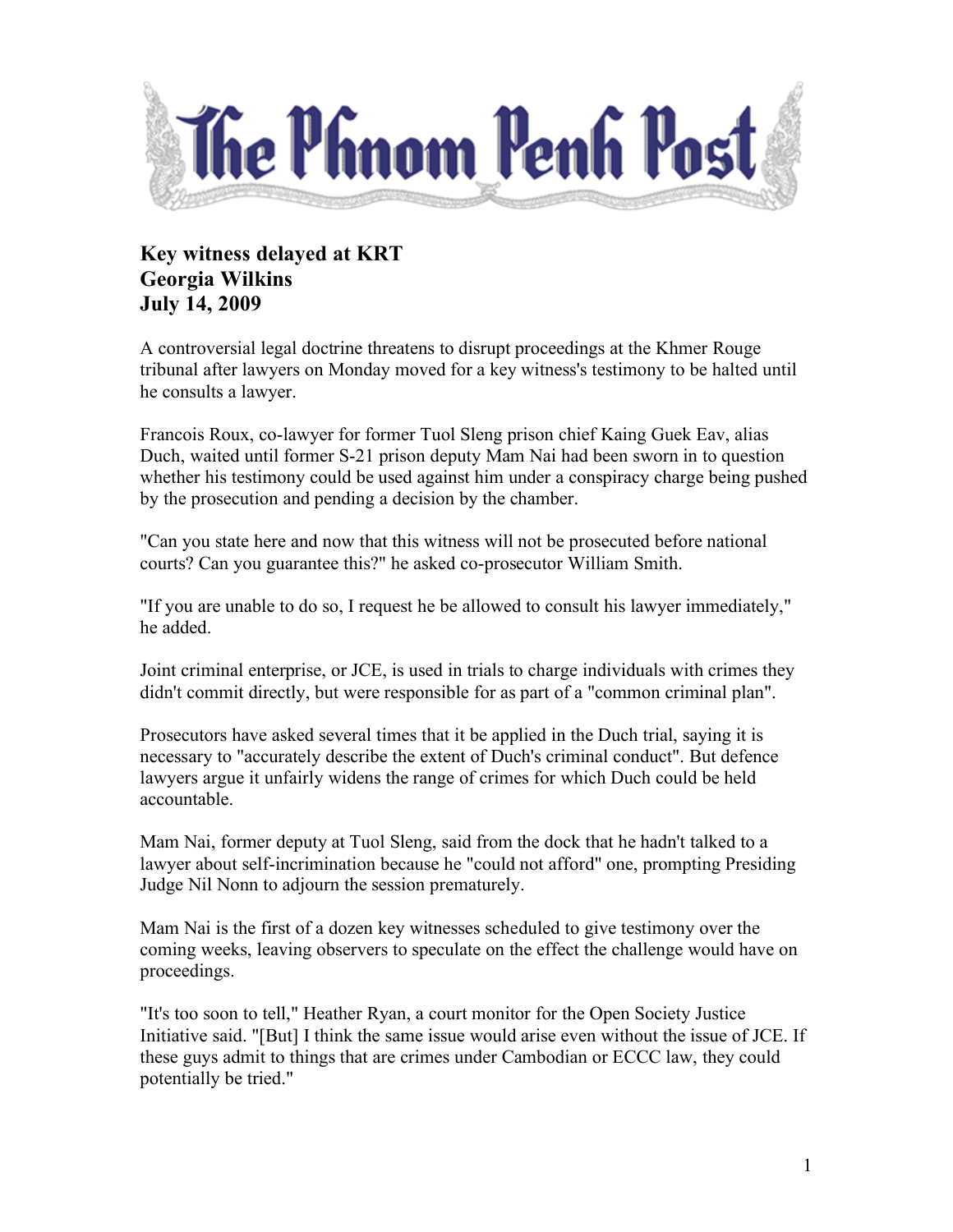

## **Key witness delayed at KRT Georgia Wilkins July 14, 2009**

A controversial legal doctrine threatens to disrupt proceedings at the Khmer Rouge tribunal after lawyers on Monday moved for a key witness's testimony to be halted until he consults a lawyer.

Francois Roux, co-lawyer for former Tuol Sleng prison chief Kaing Guek Eav, alias Duch, waited until former S-21 prison deputy Mam Nai had been sworn in to question whether his testimony could be used against him under a conspiracy charge being pushed by the prosecution and pending a decision by the chamber.

"Can you state here and now that this witness will not be prosecuted before national courts? Can you guarantee this?" he asked co-prosecutor William Smith.

"If you are unable to do so, I request he be allowed to consult his lawyer immediately," he added.

Joint criminal enterprise, or JCE, is used in trials to charge individuals with crimes they didn't commit directly, but were responsible for as part of a "common criminal plan".

Prosecutors have asked several times that it be applied in the Duch trial, saying it is necessary to "accurately describe the extent of Duch's criminal conduct". But defence lawyers argue it unfairly widens the range of crimes for which Duch could be held accountable.

Mam Nai, former deputy at Tuol Sleng, said from the dock that he hadn't talked to a lawyer about self-incrimination because he "could not afford" one, prompting Presiding Judge Nil Nonn to adjourn the session prematurely.

Mam Nai is the first of a dozen key witnesses scheduled to give testimony over the coming weeks, leaving observers to speculate on the effect the challenge would have on proceedings.

"It's too soon to tell," Heather Ryan, a court monitor for the Open Society Justice Initiative said. "[But] I think the same issue would arise even without the issue of JCE. If these guys admit to things that are crimes under Cambodian or ECCC law, they could potentially be tried."